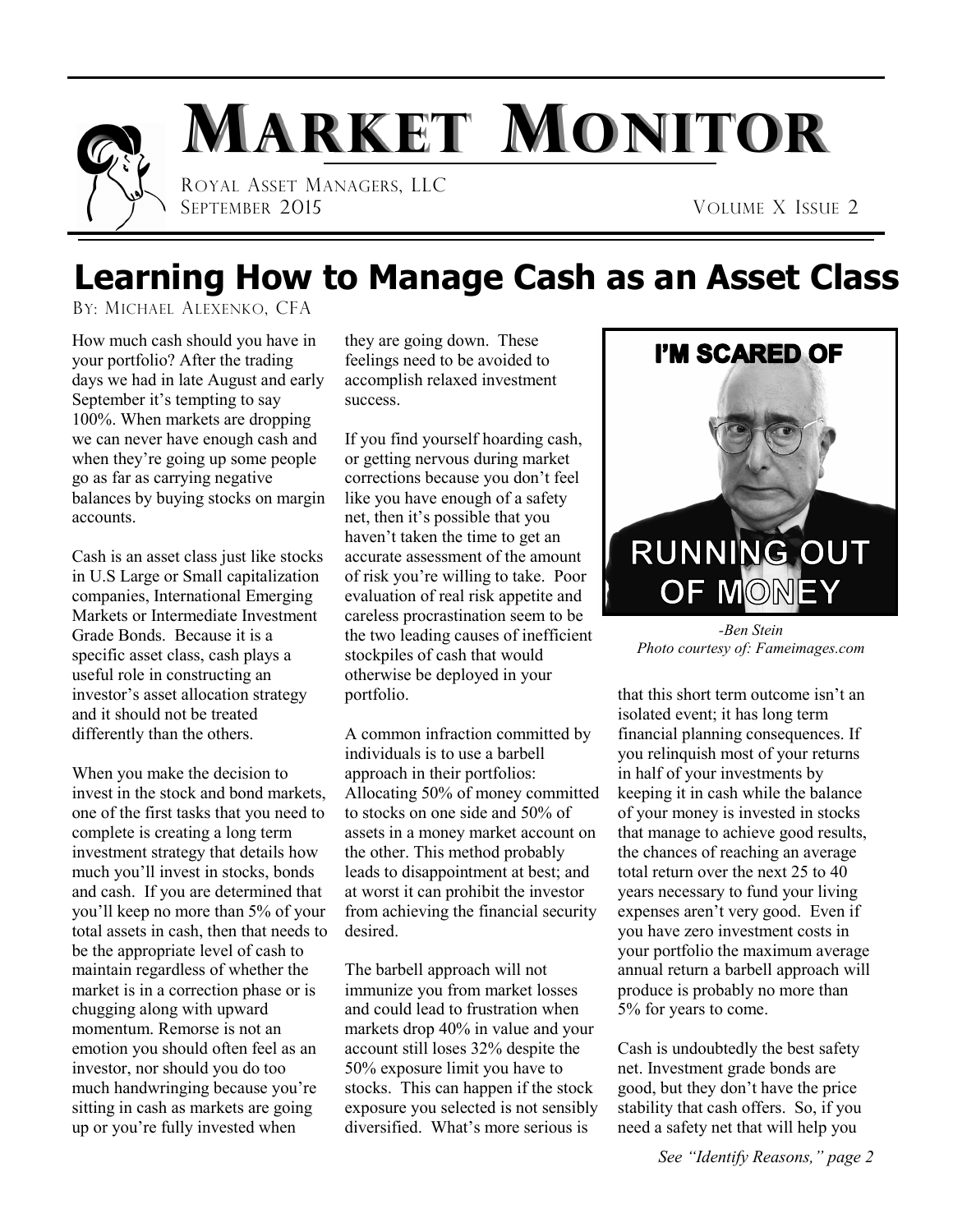

# **Learning How to Manage Cash as an Asset Class**

BY: MICHAEL ALEXENKO, CFA

How much cash should you have in your portfolio? After the trading days we had in late August and early September it's tempting to say 100%. When markets are dropping we can never have enough cash and when they're going up some people go as far as carrying negative balances by buying stocks on margin accounts.

Cash is an asset class just like stocks in U.S Large or Small capitalization companies, International Emerging Markets or Intermediate Investment Grade Bonds. Because it is a specific asset class, cash plays a useful role in constructing an investor's asset allocation strategy and it should not be treated differently than the others.

When you make the decision to invest in the stock and bond markets, one of the first tasks that you need to complete is creating a long term investment strategy that details how much you'll invest in stocks, bonds and cash. If you are determined that you'll keep no more than 5% of your total assets in cash, then that needs to be the appropriate level of cash to maintain regardless of whether the market is in a correction phase or is chugging along with upward momentum. Remorse is not an emotion you should often feel as an investor, nor should you do too much handwringing because you're sitting in cash as markets are going up or you're fully invested when

they are going down. These feelings need to be avoided to accomplish relaxed investment success.

If you find yourself hoarding cash, or getting nervous during market corrections because you don't feel like you have enough of a safety net, then it's possible that you haven't taken the time to get an accurate assessment of the amount of risk you're willing to take. Poor evaluation of real risk appetite and careless procrastination seem to be the two leading causes of inefficient stockpiles of cash that would otherwise be deployed in your portfolio.

A common infraction committed by individuals is to use a barbell approach in their portfolios: Allocating 50% of money committed to stocks on one side and 50% of assets in a money market account on the other. This method probably leads to disappointment at best; and at worst it can prohibit the investor from achieving the financial security desired.

The barbell approach will not immunize you from market losses and could lead to frustration when markets drop 40% in value and your account still loses 32% despite the 50% exposure limit you have to stocks. This can happen if the stock exposure you selected is not sensibly diversified. What's more serious is



*-Ben Stein Photo courtesy of: Fameimages.com*

that this short term outcome isn't an isolated event; it has long term financial planning consequences. If you relinquish most of your returns in half of your investments by keeping it in cash while the balance of your money is invested in stocks that manage to achieve good results, the chances of reaching an average total return over the next 25 to 40 years necessary to fund your living expenses aren't very good. Even if you have zero investment costs in your portfolio the maximum average annual return a barbell approach will produce is probably no more than 5% for years to come.

Cash is undoubtedly the best safety net. Investment grade bonds are good, but they don't have the price stability that cash offers. So, if you need a safety net that will help you